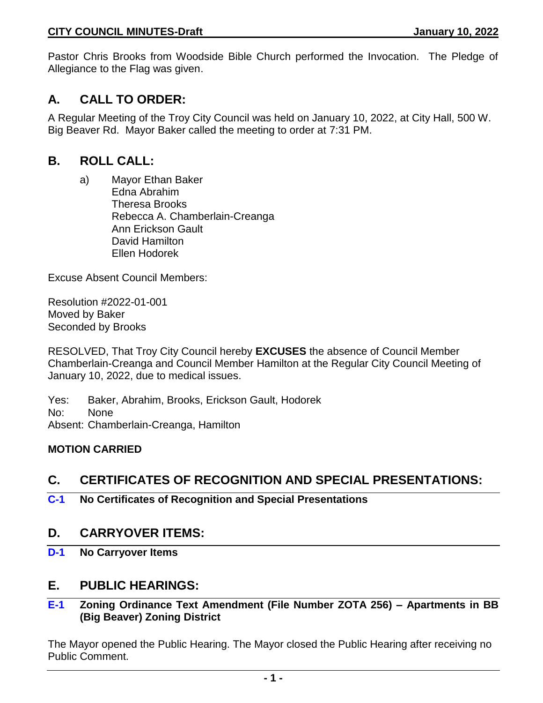Pastor Chris Brooks from Woodside Bible Church performed the Invocation. The Pledge of Allegiance to the Flag was given.

# **A. CALL TO ORDER:**

A Regular Meeting of the Troy City Council was held on January 10, 2022, at City Hall, 500 W. Big Beaver Rd. Mayor Baker called the meeting to order at 7:31 PM.

# **B. ROLL CALL:**

a) Mayor Ethan Baker Edna Abrahim Theresa Brooks Rebecca A. Chamberlain-Creanga Ann Erickson Gault David Hamilton Ellen Hodorek

Excuse Absent Council Members:

Resolution #2022-01-001 Moved by Baker Seconded by Brooks

RESOLVED, That Troy City Council hereby **EXCUSES** the absence of Council Member Chamberlain-Creanga and Council Member Hamilton at the Regular City Council Meeting of January 10, 2022, due to medical issues.

Yes: Baker, Abrahim, Brooks, Erickson Gault, Hodorek No: None Absent: Chamberlain-Creanga, Hamilton

### **MOTION CARRIED**

# **C. CERTIFICATES OF RECOGNITION AND SPECIAL PRESENTATIONS:**

**C-1 No Certificates of Recognition and Special Presentations**

# **D. CARRYOVER ITEMS:**

**D-1 No Carryover Items**

# **E. PUBLIC HEARINGS:**

### **E-1 Zoning Ordinance Text Amendment (File Number ZOTA 256) – Apartments in BB (Big Beaver) Zoning District**

The Mayor opened the Public Hearing. The Mayor closed the Public Hearing after receiving no Public Comment.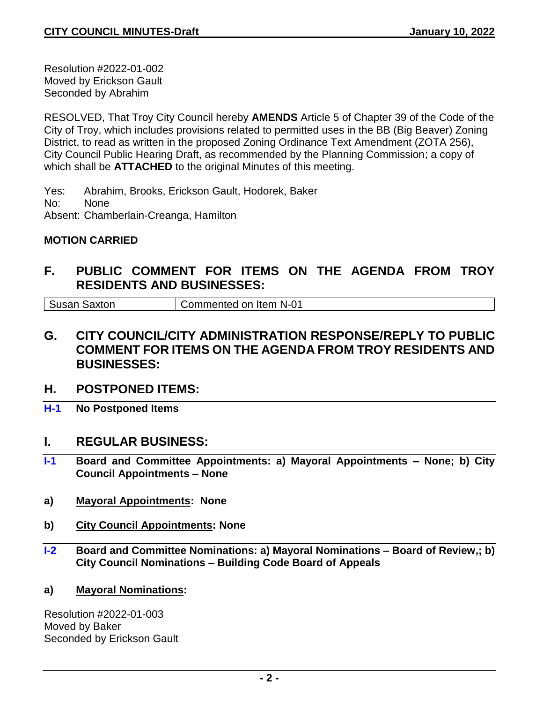Resolution #2022-01-002 Moved by Erickson Gault Seconded by Abrahim

RESOLVED, That Troy City Council hereby **AMENDS** Article 5 of Chapter 39 of the Code of the City of Troy, which includes provisions related to permitted uses in the BB (Big Beaver) Zoning District, to read as written in the proposed Zoning Ordinance Text Amendment (ZOTA 256), City Council Public Hearing Draft, as recommended by the Planning Commission; a copy of which shall be **ATTACHED** to the original Minutes of this meeting.

Yes: Abrahim, Brooks, Erickson Gault, Hodorek, Baker No: None Absent: Chamberlain-Creanga, Hamilton

### **MOTION CARRIED**

# **F. PUBLIC COMMENT FOR ITEMS ON THE AGENDA FROM TROY RESIDENTS AND BUSINESSES:**

Susan Saxton Commented on Item N-01

- **G. CITY COUNCIL/CITY ADMINISTRATION RESPONSE/REPLY TO PUBLIC COMMENT FOR ITEMS ON THE AGENDA FROM TROY RESIDENTS AND BUSINESSES:**
- **H. POSTPONED ITEMS:**
- **H-1 No Postponed Items**

### **I. REGULAR BUSINESS:**

- **I-1 Board and Committee Appointments: a) Mayoral Appointments – None; b) City Council Appointments – None**
- **a) Mayoral Appointments: None**
- **b) City Council Appointments: None**
- **I-2 Board and Committee Nominations: a) Mayoral Nominations – Board of Review,; b) City Council Nominations – Building Code Board of Appeals**
- **a) Mayoral Nominations:**

Resolution #2022-01-003 Moved by Baker Seconded by Erickson Gault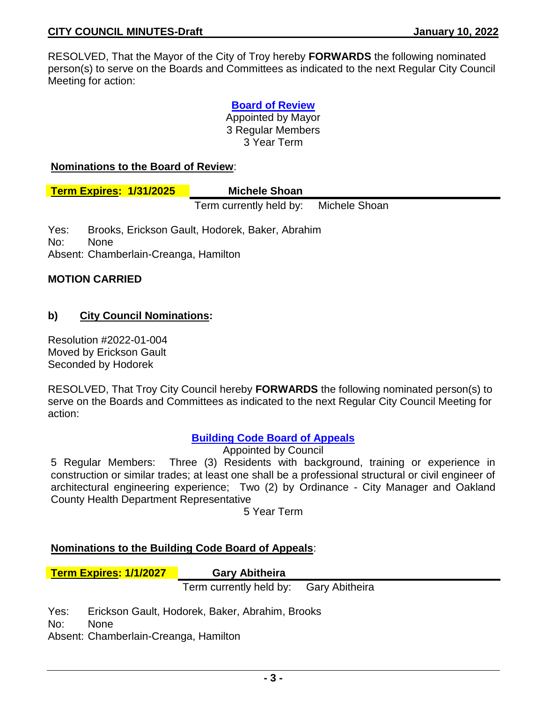RESOLVED, That the Mayor of the City of Troy hereby **FORWARDS** the following nominated person(s) to serve on the Boards and Committees as indicated to the next Regular City Council Meeting for action:

> **Board of Review** Appointed by Mayor 3 Regular Members 3 Year Term

#### **Nominations to the Board of Review**:

| <b>Term Expires: 1/31/2025</b> | <b>Michele Shoan</b>    |               |
|--------------------------------|-------------------------|---------------|
|                                | Term currently held by: | Michele Shoan |

Yes: Brooks, Erickson Gault, Hodorek, Baker, Abrahim No: None Absent: Chamberlain-Creanga, Hamilton

#### **MOTION CARRIED**

#### **b) City Council Nominations:**

Resolution #2022-01-004 Moved by Erickson Gault Seconded by Hodorek

RESOLVED, That Troy City Council hereby **FORWARDS** the following nominated person(s) to serve on the Boards and Committees as indicated to the next Regular City Council Meeting for action:

#### **Building Code Board of Appeals**

Appointed by Council

5 Regular Members: Three (3) Residents with background, training or experience in construction or similar trades; at least one shall be a professional structural or civil engineer of architectural engineering experience; Two (2) by Ordinance - City Manager and Oakland County Health Department Representative

5 Year Term

#### **Nominations to the Building Code Board of Appeals**:

**Term Expires: 1/1/2027 Gary Abitheira**

Term currently held by: Gary Abitheira

Yes: Erickson Gault, Hodorek, Baker, Abrahim, Brooks

No: None

Absent: Chamberlain-Creanga, Hamilton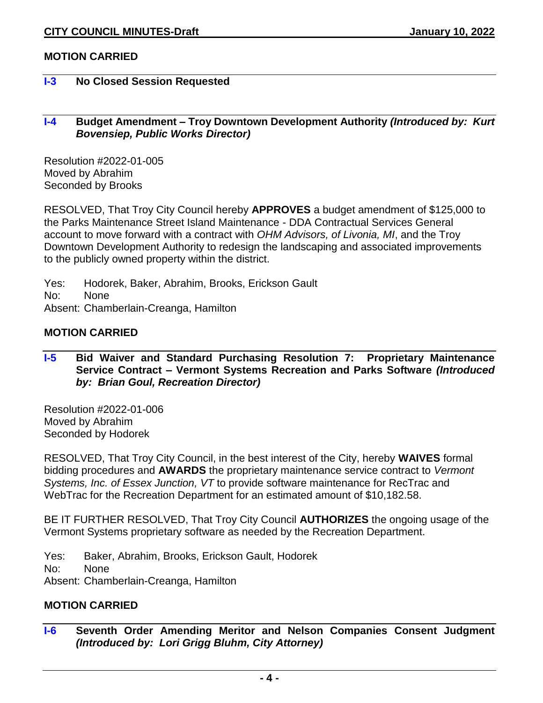### **MOTION CARRIED**

#### **I-3 No Closed Session Requested**

#### **I-4 Budget Amendment – Troy Downtown Development Authority** *(Introduced by: Kurt Bovensiep, Public Works Director)*

Resolution #2022-01-005 Moved by Abrahim Seconded by Brooks

RESOLVED, That Troy City Council hereby **APPROVES** a budget amendment of \$125,000 to the Parks Maintenance Street Island Maintenance - DDA Contractual Services General account to move forward with a contract with *OHM Advisors, of Livonia, MI*, and the Troy Downtown Development Authority to redesign the landscaping and associated improvements to the publicly owned property within the district.

Yes: Hodorek, Baker, Abrahim, Brooks, Erickson Gault No: None Absent: Chamberlain-Creanga, Hamilton

#### **MOTION CARRIED**

#### **I-5 Bid Waiver and Standard Purchasing Resolution 7: Proprietary Maintenance Service Contract – Vermont Systems Recreation and Parks Software** *(Introduced by: Brian Goul, Recreation Director)*

Resolution #2022-01-006 Moved by Abrahim Seconded by Hodorek

RESOLVED, That Troy City Council, in the best interest of the City, hereby **WAIVES** formal bidding procedures and **AWARDS** the proprietary maintenance service contract to *Vermont Systems, Inc. of Essex Junction, VT* to provide software maintenance for RecTrac and WebTrac for the Recreation Department for an estimated amount of \$10,182.58.

BE IT FURTHER RESOLVED, That Troy City Council **AUTHORIZES** the ongoing usage of the Vermont Systems proprietary software as needed by the Recreation Department.

Yes: Baker, Abrahim, Brooks, Erickson Gault, Hodorek

No: None

Absent: Chamberlain-Creanga, Hamilton

## **MOTION CARRIED**

**I-6 Seventh Order Amending Meritor and Nelson Companies Consent Judgment**  *(Introduced by: Lori Grigg Bluhm, City Attorney)*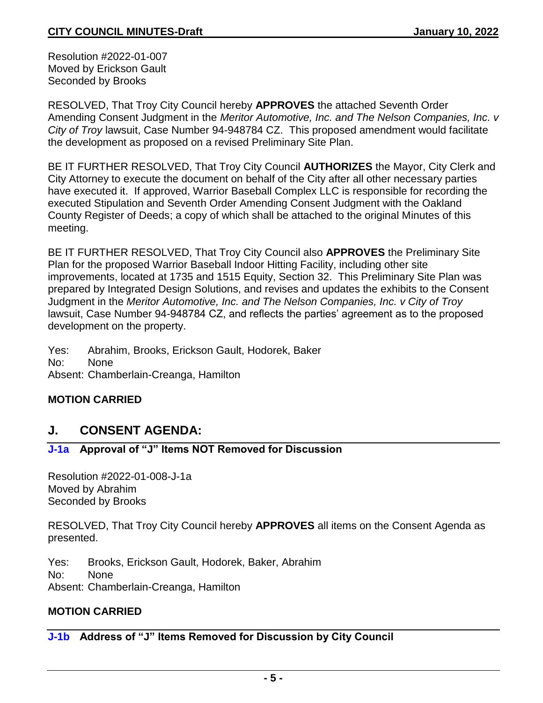Resolution #2022-01-007 Moved by Erickson Gault Seconded by Brooks

RESOLVED, That Troy City Council hereby **APPROVES** the attached Seventh Order Amending Consent Judgment in the *Meritor Automotive, Inc. and The Nelson Companies, Inc. v City of Troy* lawsuit, Case Number 94-948784 CZ. This proposed amendment would facilitate the development as proposed on a revised Preliminary Site Plan.

BE IT FURTHER RESOLVED, That Troy City Council **AUTHORIZES** the Mayor, City Clerk and City Attorney to execute the document on behalf of the City after all other necessary parties have executed it. If approved, Warrior Baseball Complex LLC is responsible for recording the executed Stipulation and Seventh Order Amending Consent Judgment with the Oakland County Register of Deeds; a copy of which shall be attached to the original Minutes of this meeting.

BE IT FURTHER RESOLVED, That Troy City Council also **APPROVES** the Preliminary Site Plan for the proposed Warrior Baseball Indoor Hitting Facility, including other site improvements, located at 1735 and 1515 Equity, Section 32. This Preliminary Site Plan was prepared by Integrated Design Solutions, and revises and updates the exhibits to the Consent Judgment in the *Meritor Automotive, Inc. and The Nelson Companies, Inc. v City of Troy*  lawsuit, Case Number 94-948784 CZ, and reflects the parties' agreement as to the proposed development on the property.

Yes: Abrahim, Brooks, Erickson Gault, Hodorek, Baker No: None Absent: Chamberlain-Creanga, Hamilton

### **MOTION CARRIED**

# **J. CONSENT AGENDA:**

### **J-1a Approval of "J" Items NOT Removed for Discussion**

Resolution #2022-01-008-J-1a Moved by Abrahim Seconded by Brooks

RESOLVED, That Troy City Council hereby **APPROVES** all items on the Consent Agenda as presented.

Yes: Brooks, Erickson Gault, Hodorek, Baker, Abrahim No: None Absent: Chamberlain-Creanga, Hamilton

### **MOTION CARRIED**

### **J-1b Address of "J" Items Removed for Discussion by City Council**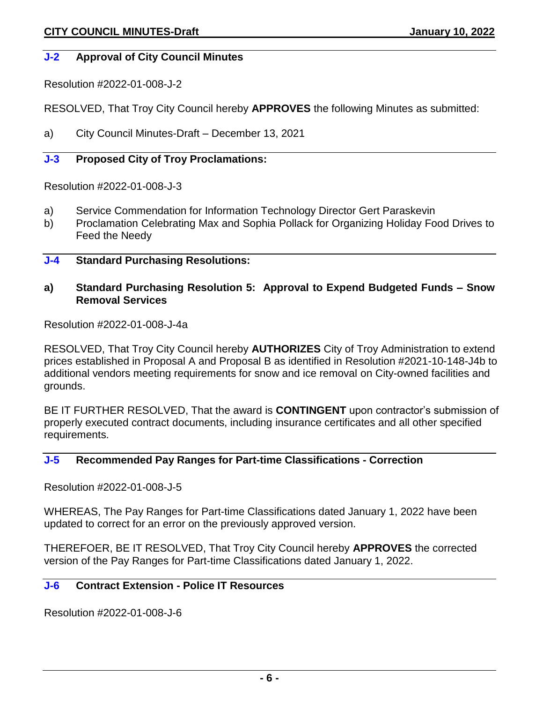#### **J-2 Approval of City Council Minutes**

Resolution #2022-01-008-J-2

RESOLVED, That Troy City Council hereby **APPROVES** the following Minutes as submitted:

a) City Council Minutes-Draft – December 13, 2021

# **J-3 Proposed City of Troy Proclamations:**

Resolution #2022-01-008-J-3

- a) Service Commendation for Information Technology Director Gert Paraskevin
- b) Proclamation Celebrating Max and Sophia Pollack for Organizing Holiday Food Drives to Feed the Needy

#### **J-4 Standard Purchasing Resolutions:**

#### **a) Standard Purchasing Resolution 5: Approval to Expend Budgeted Funds – Snow Removal Services**

Resolution #2022-01-008-J-4a

RESOLVED, That Troy City Council hereby **AUTHORIZES** City of Troy Administration to extend prices established in Proposal A and Proposal B as identified in Resolution #2021-10-148-J4b to additional vendors meeting requirements for snow and ice removal on City-owned facilities and grounds.

BE IT FURTHER RESOLVED, That the award is **CONTINGENT** upon contractor's submission of properly executed contract documents, including insurance certificates and all other specified requirements.

### **J-5 Recommended Pay Ranges for Part-time Classifications - Correction**

Resolution #2022-01-008-J-5

WHEREAS, The Pay Ranges for Part-time Classifications dated January 1, 2022 have been updated to correct for an error on the previously approved version.

THEREFOER, BE IT RESOLVED, That Troy City Council hereby **APPROVES** the corrected version of the Pay Ranges for Part-time Classifications dated January 1, 2022.

#### **J-6 Contract Extension - Police IT Resources**

Resolution #2022-01-008-J-6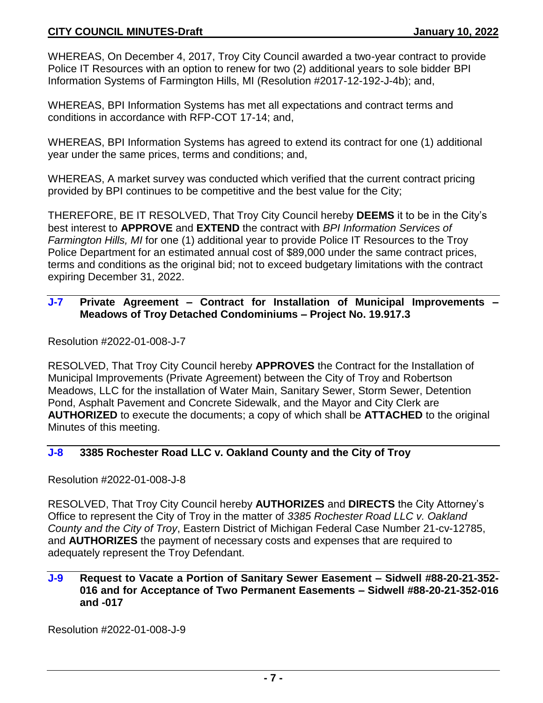WHEREAS, On December 4, 2017, Troy City Council awarded a two-year contract to provide Police IT Resources with an option to renew for two (2) additional years to sole bidder BPI Information Systems of Farmington Hills, MI (Resolution #2017-12-192-J-4b); and,

WHEREAS, BPI Information Systems has met all expectations and contract terms and conditions in accordance with RFP-COT 17-14; and,

WHEREAS, BPI Information Systems has agreed to extend its contract for one (1) additional year under the same prices, terms and conditions; and,

WHEREAS, A market survey was conducted which verified that the current contract pricing provided by BPI continues to be competitive and the best value for the City;

THEREFORE, BE IT RESOLVED, That Troy City Council hereby **DEEMS** it to be in the City's best interest to **APPROVE** and **EXTEND** the contract with *BPI Information Services of Farmington Hills, MI* for one (1) additional year to provide Police IT Resources to the Troy Police Department for an estimated annual cost of \$89,000 under the same contract prices, terms and conditions as the original bid; not to exceed budgetary limitations with the contract expiring December 31, 2022.

### **J-7 Private Agreement – Contract for Installation of Municipal Improvements – Meadows of Troy Detached Condominiums – Project No. 19.917.3**

Resolution #2022-01-008-J-7

RESOLVED, That Troy City Council hereby **APPROVES** the Contract for the Installation of Municipal Improvements (Private Agreement) between the City of Troy and Robertson Meadows, LLC for the installation of Water Main, Sanitary Sewer, Storm Sewer, Detention Pond, Asphalt Pavement and Concrete Sidewalk, and the Mayor and City Clerk are **AUTHORIZED** to execute the documents; a copy of which shall be **ATTACHED** to the original Minutes of this meeting.

### **J-8 3385 Rochester Road LLC v. Oakland County and the City of Troy**

Resolution #2022-01-008-J-8

RESOLVED, That Troy City Council hereby **AUTHORIZES** and **DIRECTS** the City Attorney's Office to represent the City of Troy in the matter of *3385 Rochester Road LLC v. Oakland County and the City of Troy*, Eastern District of Michigan Federal Case Number 21-cv-12785, and **AUTHORIZES** the payment of necessary costs and expenses that are required to adequately represent the Troy Defendant.

#### **J-9 Request to Vacate a Portion of Sanitary Sewer Easement – Sidwell #88-20-21-352- 016 and for Acceptance of Two Permanent Easements – Sidwell #88-20-21-352-016 and -017**

Resolution #2022-01-008-J-9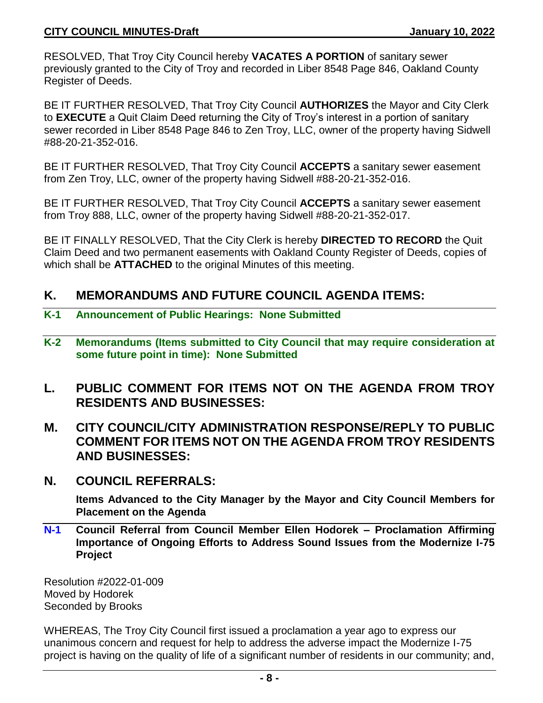RESOLVED, That Troy City Council hereby **VACATES A PORTION** of sanitary sewer previously granted to the City of Troy and recorded in Liber 8548 Page 846, Oakland County Register of Deeds.

BE IT FURTHER RESOLVED, That Troy City Council **AUTHORIZES** the Mayor and City Clerk to **EXECUTE** a Quit Claim Deed returning the City of Troy's interest in a portion of sanitary sewer recorded in Liber 8548 Page 846 to Zen Troy, LLC, owner of the property having Sidwell #88-20-21-352-016.

BE IT FURTHER RESOLVED, That Troy City Council **ACCEPTS** a sanitary sewer easement from Zen Troy, LLC, owner of the property having Sidwell #88-20-21-352-016.

BE IT FURTHER RESOLVED, That Troy City Council **ACCEPTS** a sanitary sewer easement from Troy 888, LLC, owner of the property having Sidwell #88-20-21-352-017.

BE IT FINALLY RESOLVED, That the City Clerk is hereby **DIRECTED TO RECORD** the Quit Claim Deed and two permanent easements with Oakland County Register of Deeds, copies of which shall be **ATTACHED** to the original Minutes of this meeting.

# **K. MEMORANDUMS AND FUTURE COUNCIL AGENDA ITEMS:**

- **K-1 Announcement of Public Hearings: None Submitted**
- **K-2 Memorandums (Items submitted to City Council that may require consideration at some future point in time): None Submitted**
- **L. PUBLIC COMMENT FOR ITEMS NOT ON THE AGENDA FROM TROY RESIDENTS AND BUSINESSES:**
- **M. CITY COUNCIL/CITY ADMINISTRATION RESPONSE/REPLY TO PUBLIC COMMENT FOR ITEMS NOT ON THE AGENDA FROM TROY RESIDENTS AND BUSINESSES:**
- **N. COUNCIL REFERRALS:**

**Items Advanced to the City Manager by the Mayor and City Council Members for Placement on the Agenda**

**N-1 Council Referral from Council Member Ellen Hodorek – Proclamation Affirming Importance of Ongoing Efforts to Address Sound Issues from the Modernize I-75 Project**

Resolution #2022-01-009 Moved by Hodorek Seconded by Brooks

WHEREAS, The Troy City Council first issued a proclamation a year ago to express our unanimous concern and request for help to address the adverse impact the Modernize I-75 project is having on the quality of life of a significant number of residents in our community; and,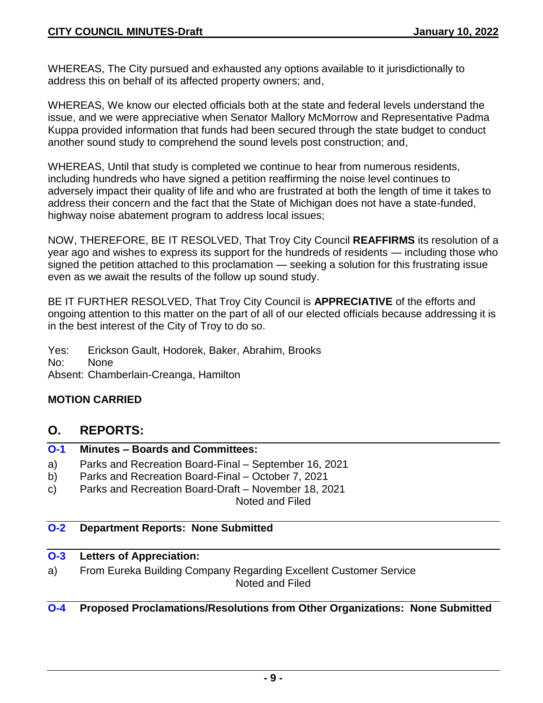WHEREAS, The City pursued and exhausted any options available to it jurisdictionally to address this on behalf of its affected property owners; and,

WHEREAS, We know our elected officials both at the state and federal levels understand the issue, and we were appreciative when Senator Mallory McMorrow and Representative Padma Kuppa provided information that funds had been secured through the state budget to conduct another sound study to comprehend the sound levels post construction; and,

WHEREAS, Until that study is completed we continue to hear from numerous residents, including hundreds who have signed a petition reaffirming the noise level continues to adversely impact their quality of life and who are frustrated at both the length of time it takes to address their concern and the fact that the State of Michigan does not have a state-funded, highway noise abatement program to address local issues;

NOW, THEREFORE, BE IT RESOLVED, That Troy City Council **REAFFIRMS** its resolution of a year ago and wishes to express its support for the hundreds of residents — including those who signed the petition attached to this proclamation — seeking a solution for this frustrating issue even as we await the results of the follow up sound study.

BE IT FURTHER RESOLVED, That Troy City Council is **APPRECIATIVE** of the efforts and ongoing attention to this matter on the part of all of our elected officials because addressing it is in the best interest of the City of Troy to do so.

Yes: Erickson Gault, Hodorek, Baker, Abrahim, Brooks

No: None

Absent: Chamberlain-Creanga, Hamilton

### **MOTION CARRIED**

### **O. REPORTS:**

### **O-1 Minutes – Boards and Committees:**

- a) Parks and Recreation Board-Final September 16, 2021
- b) Parks and Recreation Board-Final October 7, 2021
- c) Parks and Recreation Board-Draft November 18, 2021

Noted and Filed

#### **O-2 Department Reports: None Submitted**

### **O-3 Letters of Appreciation:**

a) From Eureka Building Company Regarding Excellent Customer Service Noted and Filed

#### **O-4 Proposed Proclamations/Resolutions from Other Organizations: None Submitted**